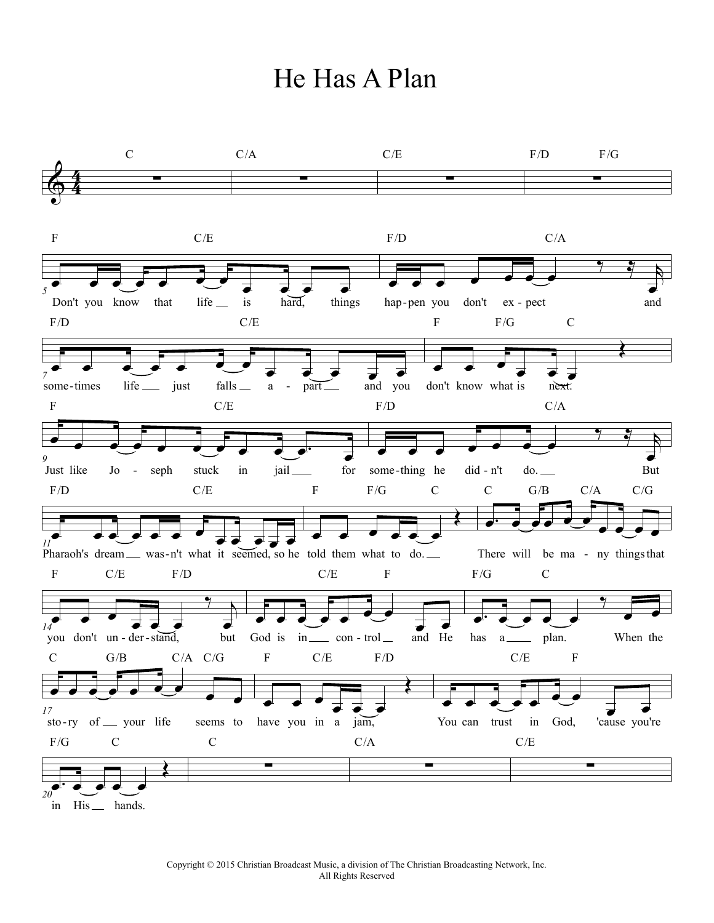## He Has A Plan

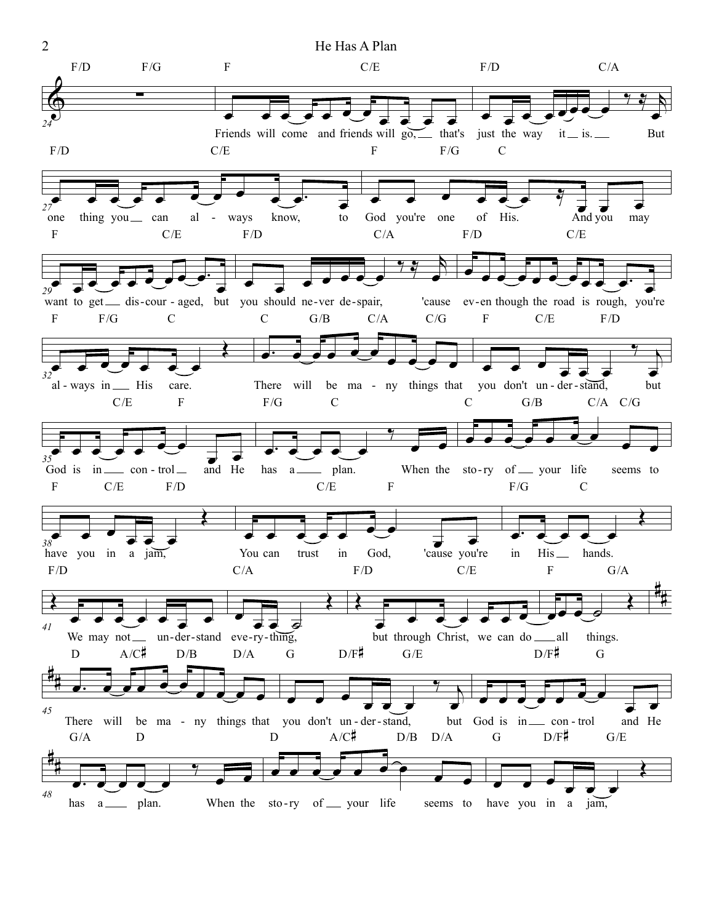